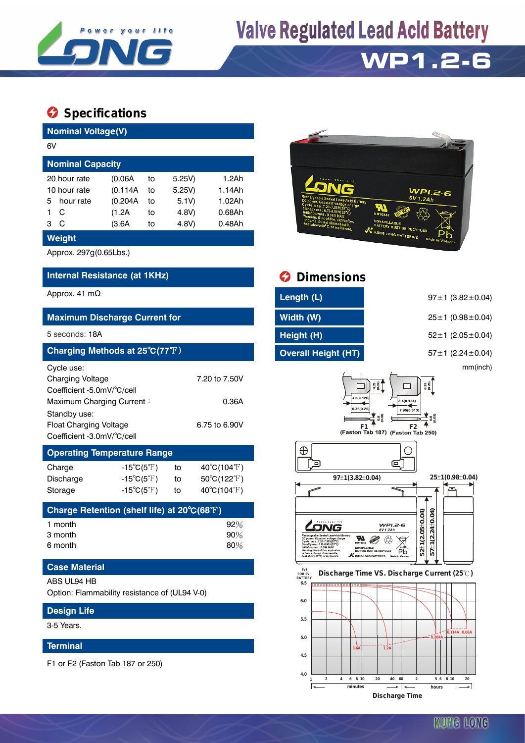

# **Valve Regulated Lead Acid Battery**

## **WP1.2-6**

### **Specifications**

**Design Life** 3-5 Years.

**Terminal**

F1 or F2 (Faston Tab 187 or 250)

| <b>Nominal Voltage(V)</b>                                                                        |                                  |                        |               |                             |  |  |  |  |
|--------------------------------------------------------------------------------------------------|----------------------------------|------------------------|---------------|-----------------------------|--|--|--|--|
| 6V                                                                                               |                                  |                        |               |                             |  |  |  |  |
| <b>Nominal Capacity</b>                                                                          |                                  |                        |               |                             |  |  |  |  |
| 20 hour rate                                                                                     | (0.06A)                          | 5.25V)                 | 1.2Ah         |                             |  |  |  |  |
| 10 hour rate                                                                                     | (0.114A)                         | 5.25V)                 | 1.14Ah        |                             |  |  |  |  |
| 5<br>hour rate                                                                                   | (0.204A)                         | to                     | 5.1V)         | 1.02Ah                      |  |  |  |  |
| 1<br>C                                                                                           | (1.2A)                           | to                     | 4.8V)         | $0.68$ Ah                   |  |  |  |  |
| С<br>3                                                                                           | (3.6A                            | to                     | 4.8V)         | 0.48Ah                      |  |  |  |  |
| Weight                                                                                           |                                  |                        |               |                             |  |  |  |  |
| Approx. 297g(0.65Lbs.)                                                                           |                                  |                        |               |                             |  |  |  |  |
| Internal Resistance (at 1KHz)                                                                    |                                  |                        |               |                             |  |  |  |  |
| Approx. 41 $m\Omega$                                                                             |                                  |                        |               |                             |  |  |  |  |
|                                                                                                  |                                  |                        |               |                             |  |  |  |  |
| <b>Maximum Discharge Current for</b>                                                             |                                  |                        |               |                             |  |  |  |  |
| 5 seconds: 18A                                                                                   |                                  |                        |               |                             |  |  |  |  |
| Charging Methods at 25°C(77°F)                                                                   |                                  |                        |               |                             |  |  |  |  |
| Cycle use:<br><b>Charging Voltage</b><br>Coefficient -5.0mV/°C/cell<br>Maximum Charging Current: |                                  | 7.20 to 7.50V<br>0.36A |               |                             |  |  |  |  |
| Standby use:                                                                                     |                                  |                        |               |                             |  |  |  |  |
| <b>Float Charging Voltage</b>                                                                    |                                  |                        | 6.75 to 6.90V |                             |  |  |  |  |
| Coefficient -3.0mV/°C/cell                                                                       |                                  |                        |               |                             |  |  |  |  |
| <b>Operating Temperature Range</b>                                                               |                                  |                        |               |                             |  |  |  |  |
| Charge                                                                                           | $-15^{\circ}C(5^{\circ}F)$       |                        | to            | $40^{\circ}C(104^{\circ}F)$ |  |  |  |  |
| Discharge                                                                                        | -15 $^{\circ}$ C(5 $^{\circ}$ F) |                        | to            | 50°C(122°F)                 |  |  |  |  |
| Storage                                                                                          | $-15^{\circ}C(5^{\circ}F)$       |                        | to            | $40^{\circ}C(104^{\circ}F)$ |  |  |  |  |
| Charge Retention (shelf life) at 20°C(68 $\rm T)$                                                |                                  |                        |               |                             |  |  |  |  |
| 1 month                                                                                          |                                  |                        |               | 92%                         |  |  |  |  |
| 3 month                                                                                          |                                  | 90%                    |               |                             |  |  |  |  |
| 6 month                                                                                          |                                  |                        |               | 80%                         |  |  |  |  |
| <b>Case Material</b>                                                                             |                                  |                        |               |                             |  |  |  |  |
| ABS UL94 HB<br>Option: Flammability resistance of (UL94 V-0)                                     |                                  |                        |               |                             |  |  |  |  |



### *<u>Dimensions</u>*

| Length (L)                 |
|----------------------------|
| Width (W)                  |
| Height (H)                 |
| <b>Overall Height (HT)</b> |

97±1 (3.82±0.04) **Maximum Discharge Current for Width (W)** 25±1 (0.98±0.04)

5 2 ± 1 (2.05 ± 0.04)

**Charging Methods at 25**℃**(77**℉) **Overall Height (HT)** 57±1 (2.24±0.04)

mm(inch)





#### **FOR 6V BATTERY Discharge Time VS. Discharge Current (25 ℃)**



KUNG LONG